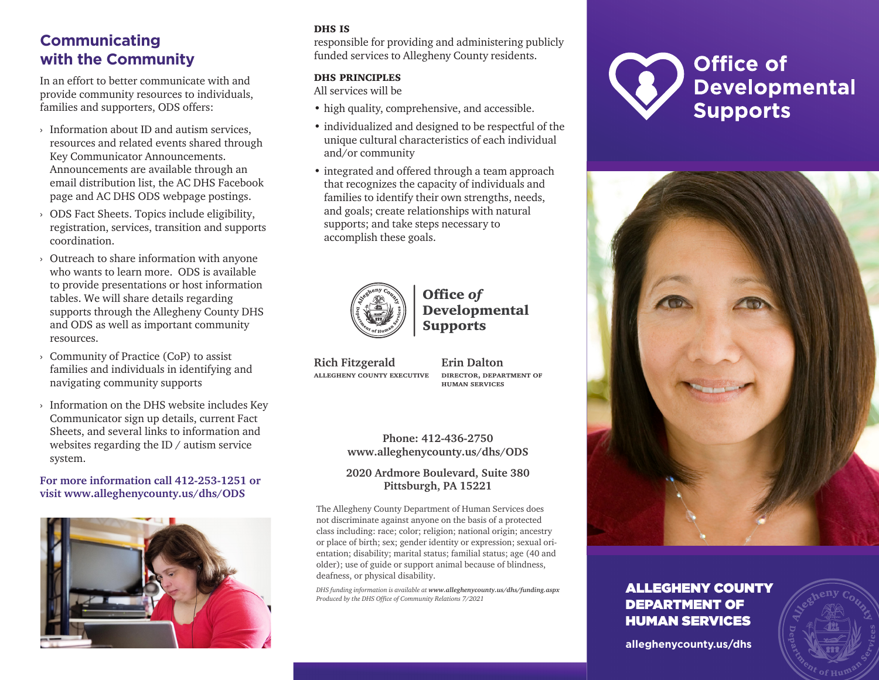## **Communicating with the Community**

In an effort to better communicate with and provide community resources to individuals, families and supporters, ODS offers:

- › Information about ID and autism services, resources and related events shared through Key Communicator Announcements. Announcements are available through an email distribution list, the AC DHS Facebook page and AC DHS ODS webpage postings.
- › ODS Fact Sheets. Topics include eligibility, registration, services, transition and supports coordination.
- › Outreach to share information with anyone who wants to learn more. ODS is available to provide presentations or host information tables. We will share details regarding supports through the Allegheny County DHS and ODS as well as important community resources.
- › Community of Practice (CoP) to assist families and individuals in identifying and navigating community supports
- › Information on the DHS website includes Key Communicator sign up details, current Fact Sheets, and several links to information and websites regarding the ID / autism service system.

### **For more information call 412-253-1251 or visit [www.alleghenycounty.us/dhs/ODS](http://www.alleghenycounty.us/dhs/ODS)**



### DHS IS

responsible for providing and administering publicly funded services to Allegheny County residents.

#### dhs principles

All services will be

- high quality, comprehensive, and accessible.
- individualized and designed to be respectful of the unique cultural characteristics of each individual and/or community
- integrated and offered through a team approach that recognizes the capacity of individuals and families to identify their own strengths, needs, and goals; create relationships with natural supports; and take steps necessary to accomplish these goals.



## Office *of*  Developmental Supports

**Rich Fitzgerald allegheny county executive**

**Erin Dalton director, department of human services**

**Phone: 412-436-2750 [www.alleghenycounty.us/dhs/ODS](http://www.alleghenycounty.us/dhs/ODS)**

### **2020 Ardmore Boulevard, Suite 380 Pittsburgh, PA 15221**

The Allegheny County Department of Human Services does not discriminate against anyone on the basis of a protected class including: race; color; religion; national origin; ancestry or place of birth; sex; gender identity or expression; sexual orientation; disability; marital status; familial status; age (40 and older); use of guide or support animal because of blindness, deafness, or physical disability.

*DHS funding information is available at www.alleghenycounty.us/dhs/funding.aspx Produced by the DHS Office of Community Relations 7/2021*





## ALLEGHENY COUNTY DEPARTMENT OF HUMAN SERVICES

**alleghenycounty.us/dhs**